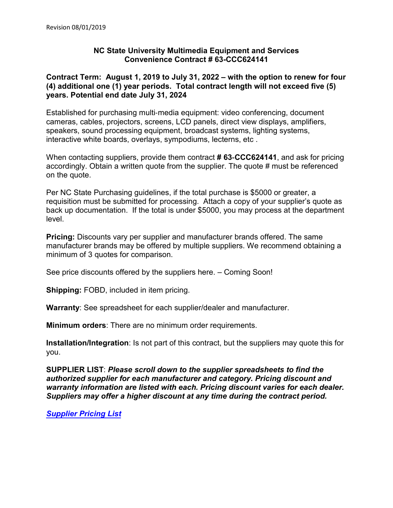# **NC State University Multimedia Equipment and Services Convenience Contract # 63-CCC624141**

# **Contract Term: August 1, 2019 to July 31, 2022 – with the option to renew for four (4) additional one (1) year periods. Total contract length will not exceed five (5) years. Potential end date July 31, 2024**

Established for purchasing multi‐media equipment: video conferencing, document cameras, cables, projectors, screens, LCD panels, direct view displays, amplifiers, speakers, sound processing equipment, broadcast systems, lighting systems, interactive white boards, overlays, sympodiums, lecterns, etc .

When contacting suppliers, provide them contract **# 63**‐**CCC624141**, and ask for pricing accordingly. Obtain a written quote from the supplier. The quote # must be referenced on the quote.

Per NC State Purchasing guidelines, if the total purchase is \$5000 or greater, a requisition must be submitted for processing. Attach a copy of your supplier's quote as back up documentation. If the total is under \$5000, you may process at the department level.

**Pricing:** Discounts vary per supplier and manufacturer brands offered. The same manufacturer brands may be offered by multiple suppliers. We recommend obtaining a minimum of 3 quotes for comparison.

See price discounts offered by the suppliers here. – Coming Soon!

**Shipping:** FOBD, included in item pricing.

**Warranty**: See spreadsheet for each supplier/dealer and manufacturer.

**Minimum orders**: There are no minimum order requirements.

**Installation/Integration**: Is not part of this contract, but the suppliers may quote this for you.

**SUPPLIER LIST**: *Please scroll down to the supplier spreadsheets to find the authorized supplier for each manufacturer and category. Pricing discount and warranty information are listed with each. Pricing discount varies for each dealer. Suppliers may offer a higher discount at any time during the contract period.* 

*[Supplier Pricing List](https://docs.google.com/spreadsheets/d/1IUc8oiHGnLpXH4w9YPXGycRXo2BMYWrOdYkKn1XPZ1c/edit?usp=sharing)*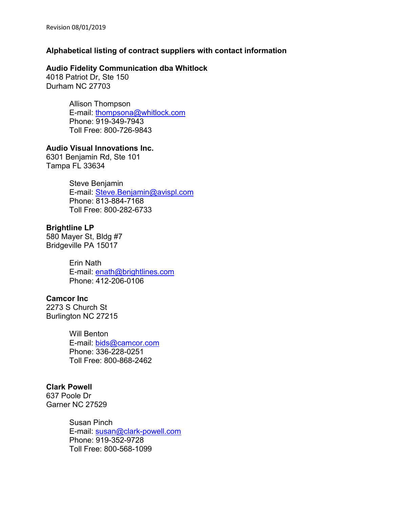# **Alphabetical listing of contract suppliers with contact information**

### **Audio Fidelity Communication dba Whitlock**

4018 Patriot Dr, Ste 150 Durham NC 27703

> Allison Thompson E-mail: [thompsona@whitlock.com](mailto:thompsona@whitlock.com) Phone: 919-349-7943 Toll Free: 800-726-9843

# **Audio Visual Innovations Inc.**

6301 Benjamin Rd, Ste 101 Tampa FL 33634

> Steve Benjamin E-mail: [Steve.Benjamin@avispl.com](mailto:Steve.Benjamin@avispl.com) Phone: 813-884-7168 Toll Free: 800-282-6733

# **Brightline LP**

580 Mayer St, Bldg #7 Bridgeville PA 15017

> Erin Nath E-mail: [enath@brightlines.com](mailto:enath@brightlines.com) Phone: 412-206-0106

# **Camcor Inc**

2273 S Church St Burlington NC 27215

> Will Benton E-mail: [bids@camcor.com](mailto:bids@camcor.com) Phone: 336-228-0251 Toll Free: 800-868-2462

# **Clark Powell**

637 Poole Dr Garner NC 27529

> Susan Pinch E-mail: [susan@clark-powell.com](mailto:susan@clark-powell.com) Phone: 919-352-9728 Toll Free: 800-568-1099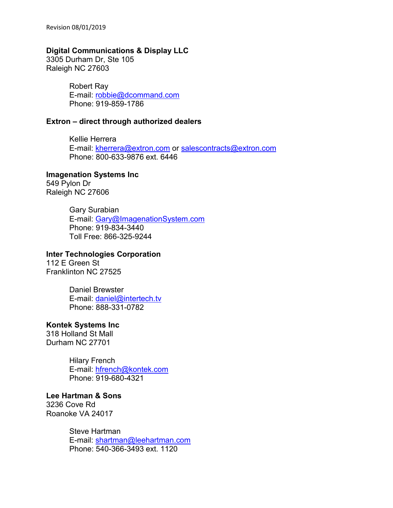#### **Digital Communications & Display LLC**

3305 Durham Dr, Ste 105 Raleigh NC 27603

> Robert Ray E-mail: [robbie@dcommand.com](mailto:robbie@dcommand.com) Phone: 919-859-1786

#### **Extron – direct through authorized dealers**

Kellie Herrera E-mail: [kherrera@extron.com](mailto:kherrera@extron.com) or [salescontracts@extron.com](mailto:salescontracts@extron.com) Phone: 800-633-9876 ext. 6446

#### **Imagenation Systems Inc**

549 Pylon Dr Raleigh NC 27606

> Gary Surabian E-mail: [Gary@ImagenationSystem.com](mailto:Gary@ImagenationSystem.com) Phone: 919-834-3440 Toll Free: 866-325-9244

# **Inter Technologies Corporation**

112 E Green St Franklinton NC 27525

> Daniel Brewster E-mail: [daniel@intertech.tv](mailto:daniel@intertech.tv) Phone: 888-331-0782

# **Kontek Systems Inc**

318 Holland St Mall Durham NC 27701

> Hilary French E-mail: [hfrench@kontek.com](mailto:hfrench@kontek.com) Phone: 919-680-4321

#### **Lee Hartman & Sons**

3236 Cove Rd Roanoke VA 24017

> Steve Hartman E-mail: [shartman@leehartman.com](mailto:shartman@leehartman.com) Phone: 540-366-3493 ext. 1120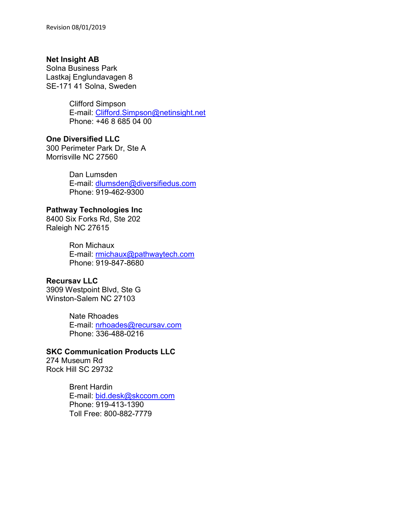# **Net Insight AB**

Solna Business Park Lastkaj Englundavagen 8 SE-171 41 Solna, Sweden

> Clifford Simpson E-mail: [Clifford.Simpson@netinsight.net](mailto:Clifford.Simpson@netinsight.net) Phone: +46 8 685 04 00

**One Diversified LLC**

300 Perimeter Park Dr, Ste A Morrisville NC 27560

> Dan Lumsden E-mail: [dlumsden@diversifiedus.com](mailto:dlumsden@diversifiedus.com) Phone: 919-462-9300

# **Pathway Technologies Inc**

8400 Six Forks Rd, Ste 202 Raleigh NC 27615

> Ron Michaux E-mail: [rmichaux@pathwaytech.com](mailto:rmichaux@pathwaytech.com) Phone: 919-847-8680

# **Recursav LLC**

3909 Westpoint Blvd, Ste G Winston-Salem NC 27103

> Nate Rhoades E-mail: [nrhoades@recursav.com](mailto:nrhoades@recursav.com) Phone: 336-488-0216

# **SKC Communication Products LLC**

274 Museum Rd Rock Hill SC 29732

> Brent Hardin E-mail: [bid.desk@skccom.com](mailto:bid.desk@skccom.com) Phone: 919-413-1390 Toll Free: 800-882-7779